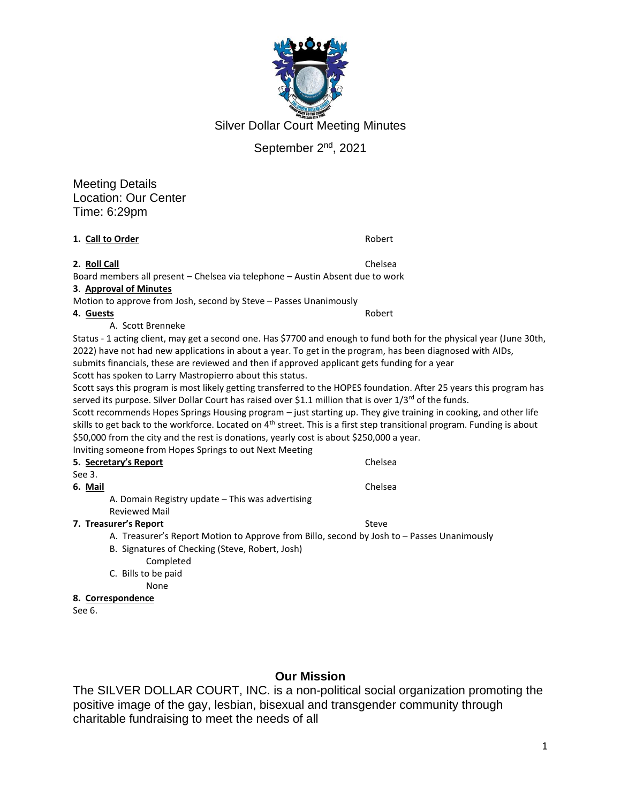

Silver Dollar Court Meeting Minutes

## September 2nd, 2021

Meeting Details Location: Our Center Time: 6:29pm

**1. Call to Order** Robert Robert Robert Robert

**2. Roll Call** Chelsea

#### Board members all present – Chelsea via telephone – Austin Absent due to work **3**. **Approval of Minutes**

Motion to approve from Josh, second by Steve – Passes Unanimously

#### **4. Guests** Robert

A. Scott Brenneke

Status - 1 acting client, may get a second one. Has \$7700 and enough to fund both for the physical year (June 30th, 2022) have not had new applications in about a year. To get in the program, has been diagnosed with AIDs, submits financials, these are reviewed and then if approved applicant gets funding for a year Scott has spoken to Larry Mastropierro about this status.

Scott says this program is most likely getting transferred to the HOPES foundation. After 25 years this program has served its purpose. Silver Dollar Court has raised over \$1.1 million that is over  $1/3^{rd}$  of the funds.

Scott recommends Hopes Springs Housing program – just starting up. They give training in cooking, and other life skills to get back to the workforce. Located on 4<sup>th</sup> street. This is a first step transitional program. Funding is about \$50,000 from the city and the rest is donations, yearly cost is about \$250,000 a year.

Inviting someone from Hopes Springs to out Next Meeting

| 5. Secretary's Report                            | Chelsea |
|--------------------------------------------------|---------|
| See 3.                                           |         |
| 6. Mail                                          | Chelsea |
| A. Domain Registry update – This was advertising |         |

Reviewed Mail

#### **7. Treasurer's Report** Steve Steve Steve

A. Treasurer's Report Motion to Approve from Billo, second by Josh to – Passes Unanimously

- B. Signatures of Checking (Steve, Robert, Josh) Completed
- C. Bills to be paid

None

- **8. Correspondence**
- See 6.

## **Our Mission**

The SILVER DOLLAR COURT, INC. is a non-political social organization promoting the positive image of the gay, lesbian, bisexual and transgender community through charitable fundraising to meet the needs of all

1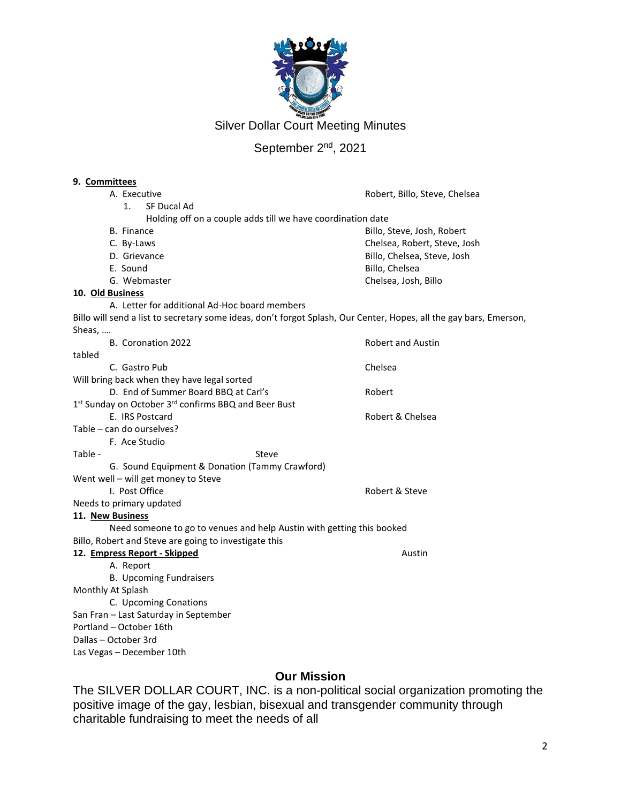

Silver Dollar Court Meeting Minutes

# September 2<sup>nd</sup>, 2021

#### **9. Committees**

| A. Executive                                                                                                       | Robert, Billo, Steve, Chelsea |
|--------------------------------------------------------------------------------------------------------------------|-------------------------------|
| 1 <sub>1</sub><br>SF Ducal Ad                                                                                      |                               |
| Holding off on a couple adds till we have coordination date                                                        |                               |
| <b>B.</b> Finance                                                                                                  | Billo, Steve, Josh, Robert    |
| C. By-Laws                                                                                                         | Chelsea, Robert, Steve, Josh  |
| D. Grievance                                                                                                       | Billo, Chelsea, Steve, Josh   |
| E. Sound                                                                                                           | Billo, Chelsea                |
| G. Webmaster                                                                                                       | Chelsea, Josh, Billo          |
| 10. Old Business                                                                                                   |                               |
| A. Letter for additional Ad-Hoc board members                                                                      |                               |
| Billo will send a list to secretary some ideas, don't forgot Splash, Our Center, Hopes, all the gay bars, Emerson, |                               |
| Sheas,                                                                                                             |                               |
| B. Coronation 2022                                                                                                 | <b>Robert and Austin</b>      |
| tabled                                                                                                             |                               |
| C. Gastro Pub                                                                                                      | Chelsea                       |
| Will bring back when they have legal sorted                                                                        |                               |
| D. End of Summer Board BBQ at Carl's                                                                               | Robert                        |
| 1 <sup>st</sup> Sunday on October 3 <sup>rd</sup> confirms BBQ and Beer Bust                                       |                               |
| E. IRS Postcard                                                                                                    | Robert & Chelsea              |
| Table - can do ourselves?                                                                                          |                               |
| F. Ace Studio                                                                                                      |                               |
| Table -<br>Steve                                                                                                   |                               |
| G. Sound Equipment & Donation (Tammy Crawford)                                                                     |                               |
| Went well - will get money to Steve                                                                                |                               |
| I. Post Office                                                                                                     | Robert & Steve                |
| Needs to primary updated                                                                                           |                               |
| 11. New Business                                                                                                   |                               |
| Need someone to go to venues and help Austin with getting this booked                                              |                               |
| Billo, Robert and Steve are going to investigate this                                                              |                               |
| 12. Empress Report - Skipped                                                                                       | Austin                        |
| A. Report                                                                                                          |                               |
| <b>B. Upcoming Fundraisers</b>                                                                                     |                               |
| Monthly At Splash                                                                                                  |                               |
| C. Upcoming Conations                                                                                              |                               |
| San Fran - Last Saturday in September                                                                              |                               |
| Portland - October 16th                                                                                            |                               |
| Dallas - October 3rd                                                                                               |                               |
| Las Vegas - December 10th                                                                                          |                               |
|                                                                                                                    |                               |

## **Our Mission**

The SILVER DOLLAR COURT, INC. is a non-political social organization promoting the positive image of the gay, lesbian, bisexual and transgender community through charitable fundraising to meet the needs of all